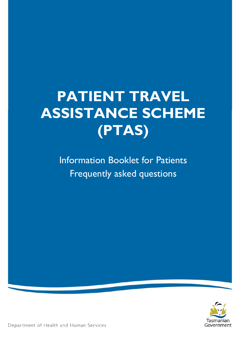# **PATIENT TRAVEL ASSISTANCE SCHEME (PTAS)**

Information Booklet for Patients Frequently asked questions



Department of Health and Human Services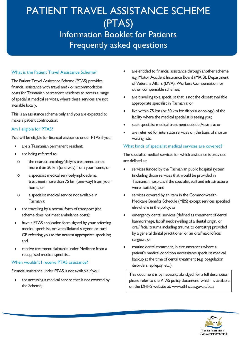# PATIENT TRAVEL ASSISTANCE SCHEME (PTAS) Information Booklet for Patients

# Frequently asked questions

# What is the Patient Travel Assistance Scheme?

The Patient Travel Assistance Scheme (PTAS) provides financial assistance with travel and / or accommodation costs for Tasmanian permanent residents to access a range of specialist medical services, where these services are not available locally.

This is an assistance scheme only and you are expected to make a patient contribution.

### Am I eligible for PTAS?

You will be eligible for financial assistance under PTAS if you:

- are a Tasmanian permanent resident;
- are being referred to:
- o the nearest oncology/dialysis treatment centre more than 50 km (one-way) from your home; or
- o a specialist medical service/lymphoedema treatment more than 75 km (one-way) from your home; or
- o a specialist medical service not available in Tasmania;
- are travelling by a normal form of transport (the scheme does not meet ambulance costs);
- have a PTAS application form signed by your referring medical specialist, oral/maxillofacial surgeon or rural GP referring you to the nearest appropriate specialist; and
- receive treatment claimable under Medicare from a recognised medical specialist.

### When wouldn't I receive PTAS assistance?

Financial assistance under PTAS is not available if you:

• are accessing a medical service that is not covered by the Scheme;

- are entitled to financial assistance through another scheme e.g. Motor Accident Insurance Board (MAIB), Department of Veterans Affairs (DVA), Workers Compensation, or other compensable schemes;
- are travelling to a specialist that is not the closest available appropriate specialist in Tasmania; or
- live within 75 km (or 50 km for dialysis/ oncology) of the facility where the medical specialist is seeing you;
- seek specialist medical treatment outside Australia; or
- are referred for interstate services on the basis of shorter waiting lists.

### What kinds of specialist medical services are covered?

The specialist medical services for which assistance is provided are defined as:

- services funded by the Tasmanian public hospital system (including those services that would be provided in Tasmanian hospitals if the specialist staff and infrastructure were available); and
- services covered by an item in the Commonwealth Medicare Benefits Schedule (MBS) except services specified elsewhere in the policy; or
- emergency dental services (defined as treatment of dental haemorrhage, facial/ neck swelling of a dental origin, or oral/ facial trauma including trauma to dentistry) provided by a general dental practitioner or an oral/maxillofacial surgeon; or
- routine dental treatment, in circumstances where a patient's medical condition necessitates specialist medical backup at the time of dental treatment (e.g. coagulation disorders, epilepsy, etc.).

This document is by necessity abridged, for a full description please refer to the PTAS policy document which is available on the DHHS website at: [www.dhhs.tas.gov.au/ptas](http://www.dhhs.tas.gov.au/ptas)

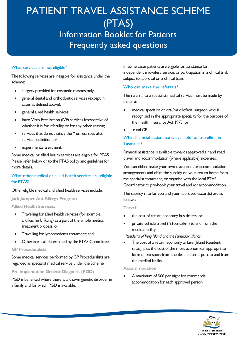#### What services are not eligible?

The following services are ineligible for assistance under the scheme:

- surgery provided for cosmetic reasons only;
- general dental and orthodontic services (except in cases as defined above);
- general allied health services;
- Intro Vitro Fertilisation (IVF) services irrespective of whether it is for infertility or for any other reason;
- services that do not satisfy the "nearest specialist service" definition; or
- experimental treatment.

Some medical or allied health services are eligible for PTAS. Please refer below or to the PTAS policy and guidelines for more details.

### What other medical or allied health services are eligible for PTAS?

#### Other eligible medical and allied health services include:

#### **Jack Jumper Ant Allergy Program**

**Allied Health Services:**

- Travelling for allied health services (for example, artificial limb fitting) as a part of the whole medical treatment process; or
- Travelling for lymphoedema treatment; and
- Other areas as determined by the PTAS Committee.

#### **GP Proceduralists**

Some medical services performed by GP Proceduralists are regarded as specialist medical service under the Scheme.

**Pre-implantation Genetic Diagnosis (PGD)** 

<span id="page-2-0"></span>PGD is benefited where there is a known genetic disorder in a family and for which PGD is available.

In some cases patients are eligible for assistance for independent midwifery service, or participation in a clinical trial, subject to approval on a clinical basis.

### Who can make the referrals?

The referral to a specialist medical service must be made by either a:

- medical specialist or oral/maxillofacial surgeon who is recognised in the appropriate speciality for the purpose of the Health Insurance Act 1973; or
- rural GP.

# What financial assistance is available for travelling in Tasmania?

Financial assistance is available towards approved air and road travel, and accommodation (where applicable) expenses.

You can either make your own travel and /or accommodation arrangements and claim the subsidy on your return home from the specialist treatment, or organise with the local PTAS Coordinator to pre-book your travel and /or accommodation.

The subsidy rate for you and your approved escort(s) are as follows:

#### **Trave[l1](#page-2-0)**

- the cost of return economy bus tickets; or
- private vehicle travel (21 cents/km) to and from the medical facility.

*Residents of King Island and the Furneaux Islands*

The cost of a return economy airfare (Island Resident rates); plus the cost of the most economical, appropriate form of transport from the destination airport to and from the medical facility.

#### **Accommodation**

<u>.</u>

• A maximum of \$66 per night for commercial accommodation for each approved person.

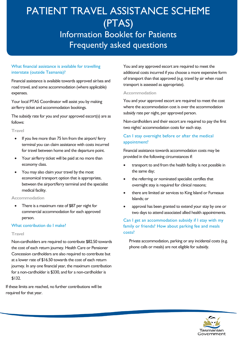# What financial assistance is available for travelling interstate (outside Tasmania)?

Financial assistance is available towards approved air/sea and road travel, and some accommodation (where applicable) expenses.

Your local PTAS Coordinator will assist you by making air/ferry ticket and accommodation bookings.

The subsidy rate for you and your approved escort(s) are as follows:

#### **Travel**

- If you live more than 75 km from the airport/ ferry terminal you can claim assistance with costs incurred for travel between home and the departure point.
- Your air/ferry ticket will be paid at no more than economy class.
- You may also claim your travel by the most economical transport option that is appropriate, between the airport/ferry terminal and the specialist medical facility.

### **Accommodation**

There is a maximum rate of \$87 per night for commercial accommodation for each approved person.

# What contribution do I make?

### **Travel**

Non-cardholders are required to contribute \$82.50 towards the cost of each return journey. Health Care or Pensioner Concession cardholders are also required to contribute but at a lower rate of \$16.50 towards the cost of each return journey. In any one financial year, the maximum contribution for a non-cardholder is \$330, and for a non-cardholder is \$132.

If these limits are reached, no further contributions will be required for that year.

You and any approved escort are required to meet the additional costs incurred if you choose a more expensive form of transport than that approved (e.g. travel by air when road transport is assessed as appropriate).

### **Accommodation**

You and your approved escort are required to meet the cost where the accommodation cost is over the accommodation subsidy rate per night, per approved person.

Non-cardholders and their escort are required to pay the first two nights' accommodation costs for each stay.

# Can I stay overnight before or after the medical appointment?

Financial assistance towards accommodation costs may be provided in the following circumstances if:

- transport to and from the health facility is not possible in the same day;
- the referring or nominated specialist certifies that overnight stay is required for clinical reasons;
- there are limited air services to King Island or Furneaux Islands; or
- approval has been granted to extend your stay by one or two days to attend associated allied health appointments.

# Can I get an accommodation subsidy if I stay with my family or friends? How about parking fee and meals costs?

Private accommodation, parking or any incidental costs (e.g. phone calls or meals) are not eligible for subsidy.

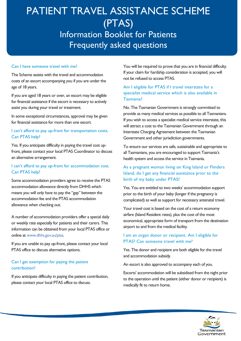### Can I have someone travel with me?

The Scheme assists with the travel and accommodation costs of an escort accompanying you if you are under the age of 18 years.

If you are aged 18 years or over, an escort may be eligible for financial assistance if the escort is necessary to actively assist you during your travel or treatment.

In some exceptional circumstances, approval may be given for financial assistance for more than one escort.

# I can't afford to pay up-front for transportation costs. Can PTAS help?

Yes. If you anticipate difficulty in paying the travel cost upfront, please contact your local PTAS Coordinator to discuss an alternative arrangement.

# I can't afford to pay up-front for accommodation cost. Can PTAS help?

Some accommodation providers agree to receive the PTAS accommodation allowance directly from DHHS which means you will only have to pay the "gap" between the accommodation fee and the PTAS accommodation allowance when checking out.

A number of accommodation providers offer a special daily or weekly rate especially for patients and their carers. This information can be obtained from your local PTAS office or online at [www.dhhs.gov.au/ptas.](http://www.dhhs.gov.au/ptas.)

If you are unable to pay up-front, please contact your local PTAS office to discuss alternative options.

### Can I get exemption for paying the patient contribution?

If you anticipate difficulty in paying the patient contribution, please contact your local PTAS office to discuss.

You will be required to prove that you are in financial difficulty. If your claim for hardship consideration is accepted, you will not be refused to access PTAS.

# Am I eligible for PTAS if I travel interstate for a specialist medical service which is also available in Tasmania?

No. The Tasmanian Government is strongly committed to provide as many medical services as possible to all Tasmanians. If you wish to access a specialist medical service interstate, this will attract a cost to the Tasmanian Government through an Interstate Charging Agreement between the Tasmanian Government and other jurisdiction governments.

To ensure our services are safe, sustainable and appropriate to all Tasmanians, you are encouraged to support Tasmania's health system and access the service in Tasmania.

# As a pregnant woman living on King Island or Flinders Island, do I get any financial assistance prior to the birth of my baby under PTAS?

Yes. You are entitled to two weeks' accommodation support prior to the birth of your baby (longer if the pregnancy is complicated) as well as support for necessary antenatal travel.

Your travel cost is based on the cost of a return economy airfare (Island Resident rates), plus the cost of the most economical, appropriate form of transport from the destination airport to and from the medical facility.

### I am an organ donor or recipient. Am I eligible for PTAS? Can someone travel with me?

Yes. The donor and recipient are both eligible for the travel and accommodation subsidy.

An escort is also approved to accompany each of you.

Escorts' accommodation will be subsidised from the night prior to the operation until the patient (either donor or recipient) is medically fit to return home.

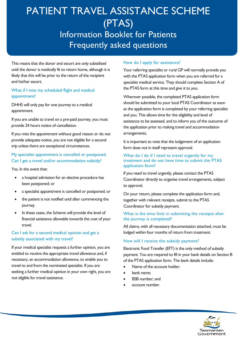This means that the donor and escort are only subsidised until the donor is medically fit to return home, although it is likely that this will be prior to the return of the recipient and his/her escort.

# What if I miss my scheduled flight and medical appointment?

DHHS will only pay for one journey to a medical appointment.

If you are unable to travel on a pre-paid journey, you must provide 24 hours notice of cancellation.

If you miss the appointment without good reason or do not provide adequate notice, you are not eligible for a second trip unless there are exceptional circumstances.

# My specialist appointment is cancelled or postponed. Can I get a travel and/or accommodation subsidy?

Yes. In the event that:

- a hospital admission for an elective procedure has been postponed; or
- a specialist appointment is cancelled or postponed; or
- the patient is not notified until after commencing the journey.
- In these cases, the Scheme will provide the level of financial assistance allowable towards the cost of your travel.

# Can I ask for a second medical opinion and get a subsidy associated with my travel?

If your medical specialist requests a further opinion, you are entitled to receive the appropriate travel allowance and, if necessary, an accommodation allowance, to enable you to travel to and from the nominated specialist. If you are seeking a further medical opinion in your own right, you are not eligible for travel assistance.

# How do I apply for assistance?

Your referring specialist or rural GP will normally provide you with the PTAS application form when you are referred for a specialist medical service. They should complete Section A of the PTAS form at this time and give it to you.

Wherever possible, the completed PTAS application form should be submitted to your local PTAS Coordinator as soon as the application form is completed by your referring specialist and you. This allows time for the eligibility and level of assistance to be assessed, and to inform you of the outcome of the application prior to making travel and accommodation arrangements.

It is important to note that the lodgement of an application form does not in itself represent approval.

#### What do I do if I need to travel urgently for my treatment and do not have time to submit the PTAS application form?

If you need to travel urgently, please contact the PTAS Coordinator directly to organise travel arrangements, subject to approval.

On your return, please complete the application form and, together with relevant receipts, submit to the PTAS Coordinator for subsidy payment.

### What is the time limit in submitting the receipts after the journey is completed?

All claims, with all necessary documentation attached, must be lodged within four months of return from treatment.

# How will I receive the subsidy payment?

Electronic Fund Transfer (EFT) is the only method of subsidy payment. You are required to fill in your bank details on Section B of the PTAS application form. The bank details include:

- Name of the account holder;
- bank name:
- **BSB** number; and
- account number.

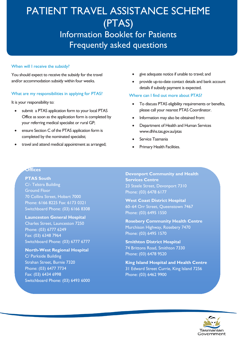#### When will I receive the subsidy?

You should expect to receive the subsidy for the travel and/or accommodation subsidy within four weeks.

#### What are my responsibilities in applying for PTAS?

It is your responsibility to:

- submit a PTAS application form to your local PTAS Office as soon as the application form is completed by your referring medical specialist or rural GP;
- ensure Section C of the PTAS application form is completed by the nominated specialist;
- travel and attend medical appointment as arranged;
- give adequate notice if unable to travel; and
- provide up-to-date contact details and bank account details if subsidy payment is expected.

#### Where can I find out more about PTAS?

- To discuss PTAS eligibility requirements or benefits, please call your nearest PTAS Coordinator.
- Information may also be obtained from:
- Department of Health and Human Services [www.dhhs.tas.gov.au/ptas](http://www.dhhs.tas.gov.au/ptas)
- Service Tasmania
- Primary Health Facilities.

**Other PTAS Coordinators**

#### **Offices**

**PTAS South** C/- Telstra Building Ground Floor 70 Collins Street, Hobart 7000 Phone: 6166 8225 Fax: 6173 0321 Switchboard Phone: (03) 6166 8308

**Launceston General Hospital**

Charles Street, Launceston 7250 Phone: (03) 6777 6249 Fax: (03) 6348 7964 Switchboard Phone: (03) 6777 6777

**North-West Regional Hospital**

C/ Parkside Building Strahan Street, Burnie 7320 Phone: (03) 6477 7734 Fax: (03) 6434 6998 Switchboard Phone: (03) 6493 6000 **Devonport Community and Health Services Centre** 23 Steele Street, Devonport 7310 Phone: (03) 6478 6177

**West Coast District Hospital** 60–64 Orr Street, Queenstown 7467 Phone: (03) 6495 1550

**Rosebery Community Health Centre** Murchison Highway, Rosebery 7470 Phone: (03) 6495 1570

**Smithton District Hospital** 74 Brittons Road, Smithton 7330 Phone: (03) 6478 9520

**King Island Hospital and Health Centre** 31 Edward Street Currie, King Island 7256 Phone: (03) 6462 9900